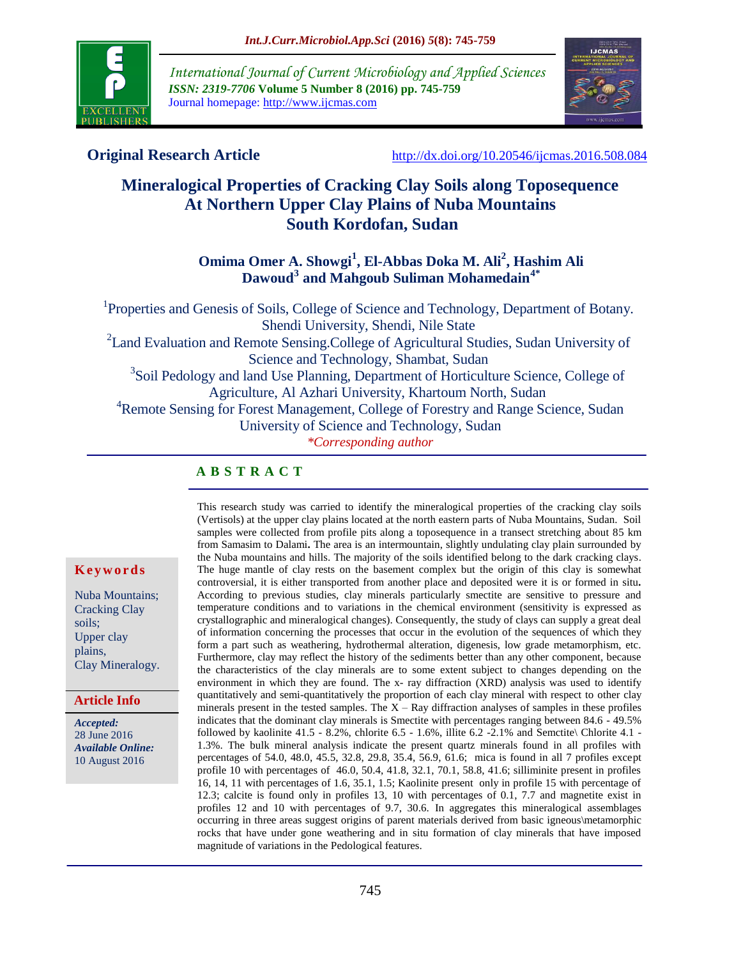

*International Journal of Current Microbiology and Applied Sciences ISSN: 2319-7706* **Volume 5 Number 8 (2016) pp. 745-759** Journal homepage: http://www.ijcmas.com



**Original Research Article** <http://dx.doi.org/10.20546/ijcmas.2016.508.084>

# **Mineralogical Properties of Cracking Clay Soils along Toposequence At Northern Upper Clay Plains of Nuba Mountains South Kordofan, Sudan**

## **Omima Omer A. Showgi<sup>1</sup> , El-Abbas Doka M. Ali 2 , Hashim Ali Dawoud 3 and Mahgoub Suliman Mohamedain 4\***

<sup>1</sup>Properties and Genesis of Soils, College of Science and Technology, Department of Botany. Shendi University, Shendi, Nile State <sup>2</sup> Land Evaluation and Remote Sensing. College of Agricultural Studies, Sudan University of Science and Technology, Shambat, Sudan <sup>3</sup>Soil Pedology and land Use Planning, Department of Horticulture Science, College of Agriculture, Al Azhari University, Khartoum North, Sudan <sup>4</sup>Remote Sensing for Forest Management, College of Forestry and Range Science, Sudan University of Science and Technology, Sudan *\*Corresponding author*

## **A B S T R A C T**

#### **K e y w o r d s**

Nuba Mountains; Cracking Clay soils; Upper clay plains, Clay Mineralogy.

#### **Article Info**

*Accepted:*  28 June 2016 *Available Online:* 10 August 2016

This research study was carried to identify the mineralogical properties of the cracking clay soils (Vertisols) at the upper clay plains located at the north eastern parts of Nuba Mountains, Sudan. Soil samples were collected from profile pits along a toposequence in a transect stretching about 85 km from Samasim to Dalami**.** The area is an intermountain, slightly undulating clay plain surrounded by the Nuba mountains and hills. The majority of the soils identified belong to the dark cracking clays. The huge mantle of clay rests on the basement complex but the origin of this clay is somewhat controversial, it is either transported from another place and deposited were it is or formed in situ*.* According to previous studies, clay minerals particularly smectite are sensitive to pressure and temperature conditions and to variations in the chemical environment (sensitivity is expressed as crystallographic and mineralogical changes). Consequently, the study of clays can supply a great deal of information concerning the processes that occur in the evolution of the sequences of which they form a part such as weathering, hydrothermal alteration, digenesis, low grade metamorphism, etc. Furthermore, clay may reflect the history of the sediments better than any other component, because the characteristics of the clay minerals are to some extent subject to changes depending on the environment in which they are found. The x- ray diffraction (XRD) analysis was used to identify quantitatively and semi-quantitatively the proportion of each clay mineral with respect to other clay minerals present in the tested samples. The  $X - Ray$  diffraction analyses of samples in these profiles indicates that the dominant clay minerals is Smectite with percentages ranging between 84.6 - 49.5% followed by kaolinite 41.5 - 8.2%, chlorite 6.5 - 1.6%, illite 6.2 -2.1% and Semctite\ Chlorite 4.1 - 1.3%. The bulk mineral analysis indicate the present quartz minerals found in all profiles with percentages of 54.0, 48.0, 45.5, 32.8, 29.8, 35.4, 56.9, 61.6; mica is found in all 7 profiles except profile 10 with percentages of 46.0, 50.4, 41.8, 32.1, 70.1, 58.8, 41.6; silliminite present in profiles 16, 14, 11 with percentages of 1.6, 35.1, 1.5; Kaolinite present only in profile 15 with percentage of 12.3; calcite is found only in profiles 13, 10 with percentages of 0.1, 7.7 and magnetite exist in profiles 12 and 10 with percentages of 9.7, 30.6. In aggregates this mineralogical assemblages occurring in three areas suggest origins of parent materials derived from basic igneous\metamorphic rocks that have under gone weathering and in situ formation of clay minerals that have imposed magnitude of variations in the Pedological features.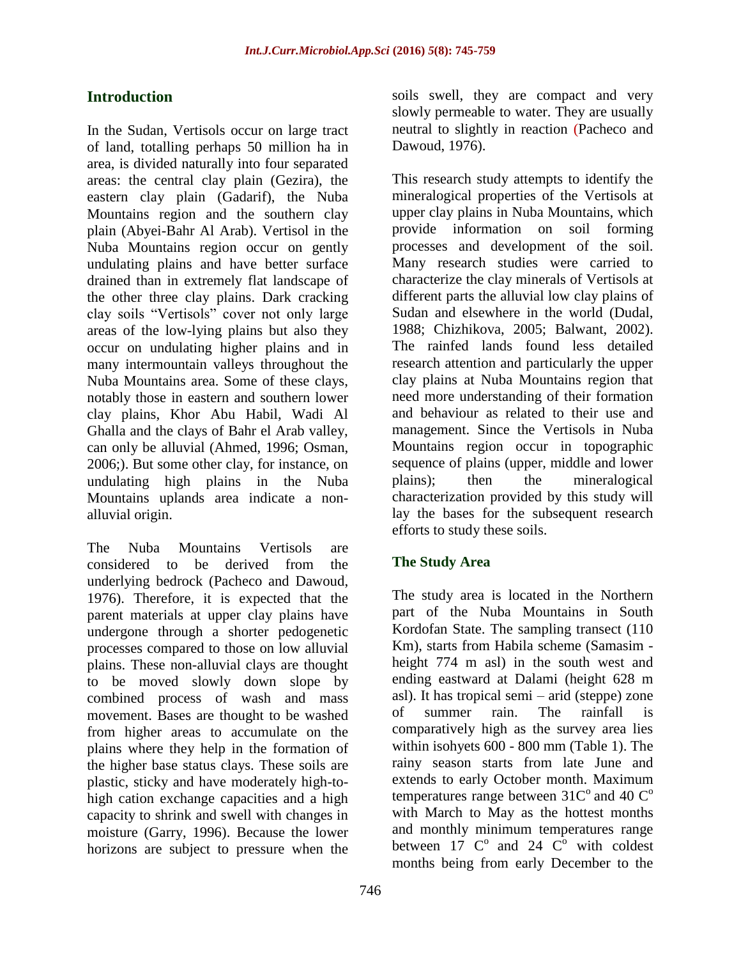# **Introduction**

In the Sudan, Vertisols occur on large tract of land, totalling perhaps 50 million ha in area, is divided naturally into four separated areas: the central clay plain (Gezira), the eastern clay plain (Gadarif), the Nuba Mountains region and the southern clay plain (Abyei-Bahr Al Arab). Vertisol in the Nuba Mountains region occur on gently undulating plains and have better surface drained than in extremely flat landscape of the other three clay plains. Dark cracking clay soils "Vertisols" cover not only large areas of the low-lying plains but also they occur on undulating higher plains and in many intermountain valleys throughout the Nuba Mountains area. Some of these clays, notably those in eastern and southern lower clay plains, Khor Abu Habil, Wadi Al Ghalla and the clays of Bahr el Arab valley, can only be alluvial (Ahmed, 1996; Osman, 2006;). But some other clay, for instance, on undulating high plains in the Nuba Mountains uplands area indicate a nonalluvial origin.

The Nuba Mountains Vertisols are considered to be derived from the underlying bedrock (Pacheco and Dawoud, 1976). Therefore, it is expected that the parent materials at upper clay plains have undergone through a shorter pedogenetic processes compared to those on low alluvial plains. These non-alluvial clays are thought to be moved slowly down slope by combined process of wash and mass movement. Bases are thought to be washed from higher areas to accumulate on the plains where they help in the formation of the higher base status clays. These soils are plastic, sticky and have moderately high-tohigh cation exchange capacities and a high capacity to shrink and swell with changes in moisture (Garry, 1996). Because the lower horizons are subject to pressure when the

soils swell, they are compact and very slowly permeable to water. They are usually neutral to slightly in reaction (Pacheco and Dawoud, 1976).

This research study attempts to identify the mineralogical properties of the Vertisols at upper clay plains in Nuba Mountains, which provide information on soil forming processes and development of the soil. Many research studies were carried to characterize the clay minerals of Vertisols at different parts the alluvial low clay plains of Sudan and elsewhere in the world (Dudal, 1988; [Chizhikova,](http://www.maikonline.com/maik/articleParamSearch.do?author=N.+P.+Chizhikova) 2005; [Balwant, 2](mailto:b.singh@acss.usyd.edu.au)002). The rainfed lands found less detailed research attention and particularly the upper clay plains at Nuba Mountains region that need more understanding of their formation and behaviour as related to their use and management. Since the Vertisols in Nuba Mountains region occur in topographic sequence of plains (upper, middle and lower plains); then the mineralogical characterization provided by this study will lay the bases for the subsequent research efforts to study these soils.

## **The Study Area**

The study area is located in the Northern part of the Nuba Mountains in South Kordofan State. The sampling transect (110 Km), starts from Habila scheme (Samasim height 774 m asl) in the south west and ending eastward at Dalami (height 628 m asl). It has tropical semi – arid (steppe) zone of summer rain. The rainfall is comparatively high as the survey area lies within isohyets 600 - 800 mm (Table 1). The rainy season starts from late June and extends to early October month. Maximum temperatures range between  $31C^{\circ}$  and 40  $C^{\circ}$ with March to May as the hottest months and monthly minimum temperatures range between  $17 \text{ }^\circ$  c<sup>o</sup> and 24  $\text{ }^\circ$  with coldest months being from early December to the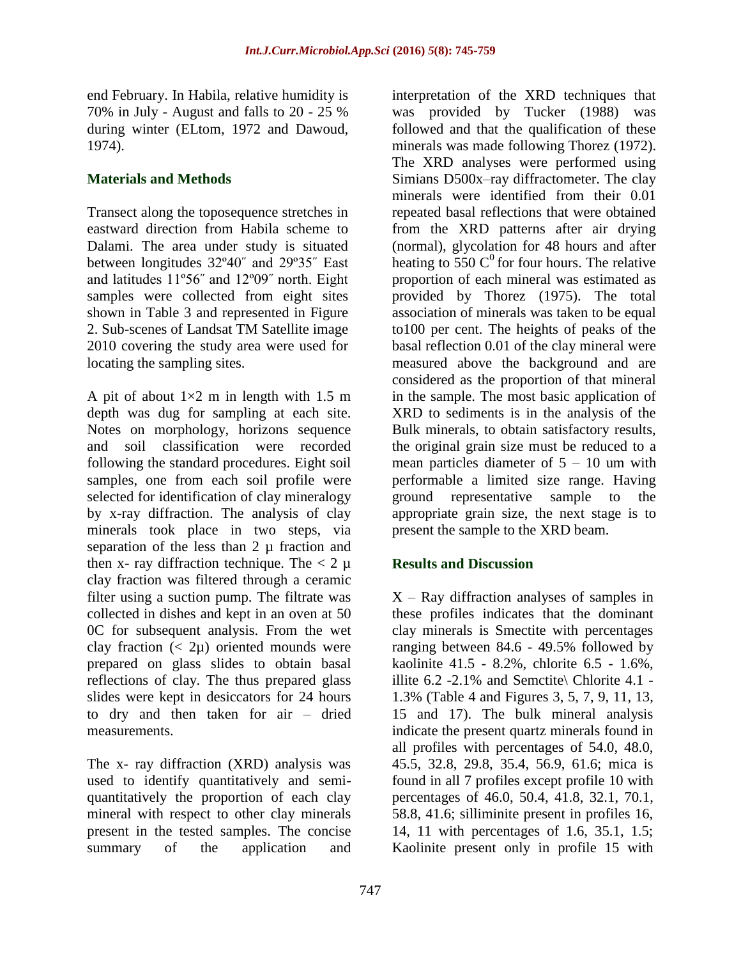end February. In Habila, relative humidity is 70% in July - August and falls to 20 - 25 % during winter (ELtom, 1972 and Dawoud, 1974).

## **Materials and Methods**

Transect along the toposequence stretches in eastward direction from Habila scheme to Dalami. The area under study is situated between longitudes 32º40˝ and 29º35˝ East and latitudes 11º56˝ and 12º09˝ north. Eight samples were collected from eight sites shown in Table 3 and represented in Figure 2. Sub-scenes of Landsat TM Satellite image 2010 covering the study area were used for locating the sampling sites.

A pit of about  $1\times2$  m in length with 1.5 m depth was dug for sampling at each site. Notes on morphology, horizons sequence and soil classification were recorded following the standard procedures. Eight soil samples, one from each soil profile were selected for identification of clay mineralogy by x-ray diffraction. The analysis of clay minerals took place in two steps, via separation of the less than 2  $\mu$  fraction and then x- ray diffraction technique. The  $< 2 \mu$ clay fraction was filtered through a ceramic filter using a suction pump. The filtrate was collected in dishes and kept in an oven at 50 0C for subsequent analysis. From the wet clay fraction  $(< 2\mu$ ) oriented mounds were prepared on glass slides to obtain basal reflections of clay. The thus prepared glass slides were kept in desiccators for 24 hours to dry and then taken for air – dried measurements.

The x- ray diffraction (XRD) analysis was used to identify quantitatively and semiquantitatively the proportion of each clay mineral with respect to other clay minerals present in the tested samples. The concise summary of the application and

interpretation of the XRD techniques that was provided by Tucker (1988) was followed and that the qualification of these minerals was made following Thorez (1972). The XRD analyses were performed using Simians D500x–ray diffractometer. The clay minerals were identified from their 0.01 repeated basal reflections that were obtained from the XRD patterns after air drying (normal), glycolation for 48 hours and after heating to  $550 \text{ C}^0$  for four hours. The relative proportion of each mineral was estimated as provided by Thorez (1975). The total association of minerals was taken to be equal to100 per cent. The heights of peaks of the basal reflection 0.01 of the clay mineral were measured above the background and are considered as the proportion of that mineral in the sample. The most basic application of XRD to sediments is in the analysis of the Bulk minerals, to obtain satisfactory results, the original grain size must be reduced to a mean particles diameter of  $5 - 10$  um with performable a limited size range. Having ground representative sample to the appropriate grain size, the next stage is to present the sample to the XRD beam.

# **Results and Discussion**

 $X - Ray$  diffraction analyses of samples in these profiles indicates that the dominant clay minerals is Smectite with percentages ranging between 84.6 - 49.5% followed by kaolinite 41.5 - 8.2%, chlorite 6.5 - 1.6%, illite  $6.2 - 2.1\%$  and Semctite\ Chlorite 4.1 -1.3% (Table 4 and Figures 3, 5, 7, 9, 11, 13, 15 and 17). The bulk mineral analysis indicate the present quartz minerals found in all profiles with percentages of 54.0, 48.0, 45.5, 32.8, 29.8, 35.4, 56.9, 61.6; mica is found in all 7 profiles except profile 10 with percentages of 46.0, 50.4, 41.8, 32.1, 70.1, 58.8, 41.6; silliminite present in profiles 16, 14, 11 with percentages of 1.6, 35.1, 1.5; Kaolinite present only in profile 15 with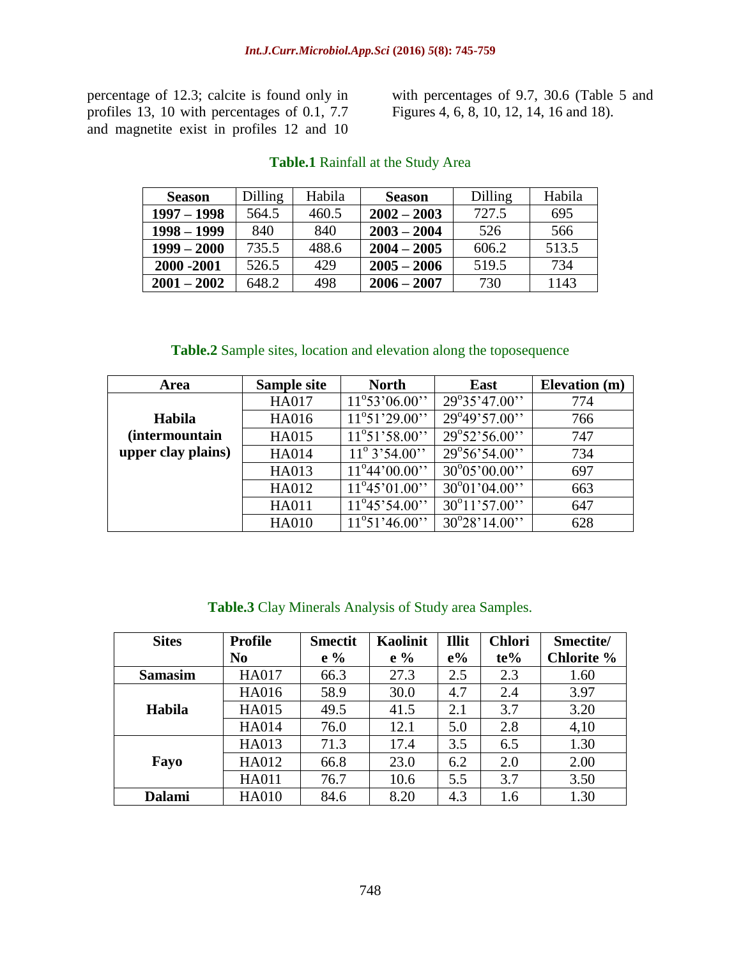percentage of 12.3; calcite is found only in profiles 13, 10 with percentages of 0.1, 7.7 and magnetite exist in profiles 12 and 10

with percentages of 9.7, 30.6 (Table 5 and Figures 4, 6, 8, 10, 12, 14, 16 and 18).

| <b>Season</b> | <b>Dilling</b> | Habila | <b>Season</b> | Dilling | Habila |
|---------------|----------------|--------|---------------|---------|--------|
| $1997 - 1998$ | 564.5          | 460.5  | $2002 - 2003$ | 727.5   | 695    |
| $1998 - 1999$ | 840            | 840    | $2003 - 2004$ | 526     | 566    |
| $1999 - 2000$ | 735.5          | 488.6  | $2004 - 2005$ | 606.2   | 513.5  |
| 2000 - 2001   | 526.5          | 429    | $2005 - 2006$ | 519.5   | 734    |
| $2001 - 2002$ | 648.2          | 498    | $2006 - 2007$ | 730     | 1143   |

## **Table.1** Rainfall at the Study Area

### **Table.2** Sample sites, location and elevation along the toposequence

| Area                   | Sample site  | <b>North</b>                  | <b>East</b>            | Elevation (m) |
|------------------------|--------------|-------------------------------|------------------------|---------------|
|                        | <b>HA017</b> | $11^{\circ}53'06.00"$         | $29^{\circ}35'47.00''$ | 774           |
| Habila                 | HA016        | $11^{\circ}51'29.00''$        | 29°49'57.00"           | 766           |
| <i>(intermountain)</i> | <b>HA015</b> | $11^{\circ}51'58.00''$        | $29^{\circ}52'56.00''$ | 747           |
| upper clay plains)     | <b>HA014</b> | $11^{\circ}$ 3'54.00"         | $29^{\circ}56'54.00''$ | 734           |
|                        | HA013        | $11^{\circ}44'00.00$ "        | $30^{\circ}05'00.00"$  | 697           |
|                        | HA012        | $11^{\circ}45^{\circ}01.00$ " | $30^{\circ}01'04.00"$  | 663           |
|                        | <b>HA011</b> | $11^{\circ}45'54.00''$        | $30^{\circ}11'57.00''$ | 647           |
|                        | <b>HA010</b> | $11^{\circ}51'46.00''$        | $30^{\circ}28'14.00''$ | 628           |

## **Table.3** Clay Minerals Analysis of Study area Samples.

| <b>Sites</b>   | <b>Profile</b> | <b>Smectit</b> | <b>Kaolinit</b> | <b>Illit</b> | <b>Chlori</b> | Smectite/  |
|----------------|----------------|----------------|-----------------|--------------|---------------|------------|
|                | N <sub>0</sub> | $e\%$          | $e\%$           | $e\%$        | $te\%$        | Chlorite % |
| <b>Samasim</b> | <b>HA017</b>   | 66.3           | 27.3            | 2.5          | 2.3           | 1.60       |
|                | <b>HA016</b>   | 58.9           | 30.0            | 4.7          | 2.4           | 3.97       |
| Habila         | <b>HA015</b>   | 49.5           | 41.5            | 2.1          | 3.7           | 3.20       |
|                | <b>HA014</b>   | 76.0           | 12.1            | 5.0          | 2.8           | 4,10       |
|                | HA013          | 71.3           | 17.4            | 3.5          | 6.5           | 1.30       |
| Fayo           | HA012          | 66.8           | 23.0            | 6.2          | 2.0           | 2.00       |
|                | <b>HA011</b>   | 76.7           | 10.6            | 5.5          | 3.7           | 3.50       |
| <b>Dalami</b>  | <b>HA010</b>   | 84.6           | 8.20            | 4.3          | 1.6           | 1.30       |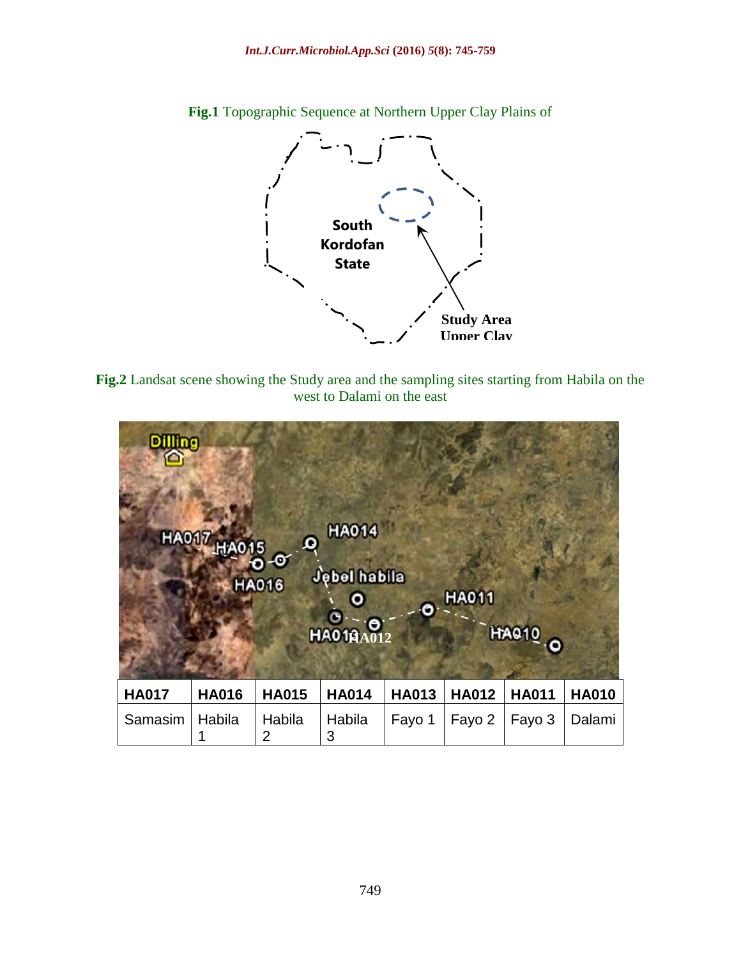

**Fig.1** Topographic Sequence at Northern Upper Clay Plains of

**Fig.2** Landsat scene showing the Study area and the sampling sites starting from Habila on the west to Dalami on the east

| <b>Dilling</b> | <b>HA017 HA015</b> | ٥<br>о<br><b>HA016</b> | <b>HA014</b><br><b>Jebel habila</b><br><b>HAO18A012</b> | O            | <b>HA011</b> | <b>HAQ10 O</b> |              |
|----------------|--------------------|------------------------|---------------------------------------------------------|--------------|--------------|----------------|--------------|
| <b>HA017</b>   | <b>HA016</b>       | <b>HA015</b>           | <b>HA014</b>                                            | <b>HA013</b> | <b>HA012</b> | <b>HA011</b>   | <b>HA010</b> |
| Samasim        | Habila<br>1        | Habila<br>2            | Habila<br>3                                             | Fayo 1       | Fayo 2       | Fayo 3         | Dalami       |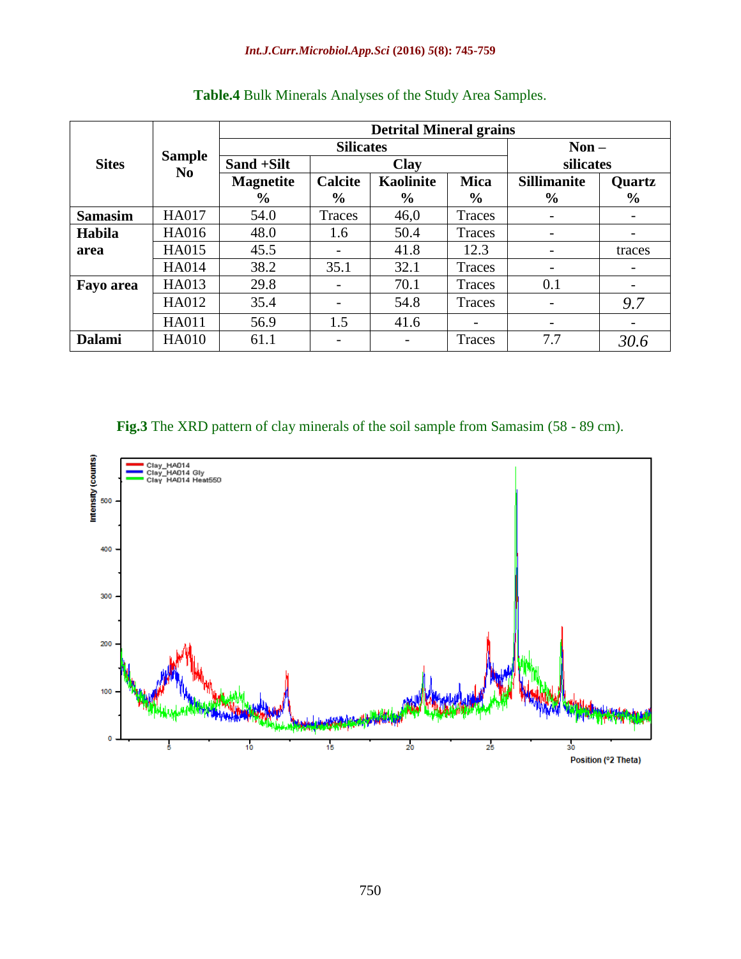#### *Int.J.Curr.Microbiol.App.Sci* **(2016)** *5***(8): 745-759**

|                  |                                 | <b>Detrital Mineral grains</b> |                  |                  |               |                    |                          |  |  |
|------------------|---------------------------------|--------------------------------|------------------|------------------|---------------|--------------------|--------------------------|--|--|
|                  | <b>Sample</b><br>N <sub>0</sub> |                                | <b>Silicates</b> | $Non-$           |               |                    |                          |  |  |
| <b>Sites</b>     |                                 | Sand +Silt                     | <b>Clay</b>      |                  |               | silicates          |                          |  |  |
|                  |                                 | <b>Magnetite</b>               | <b>Calcite</b>   | <b>Kaolinite</b> | <b>Mica</b>   | <b>Sillimanite</b> | <b>Quartz</b>            |  |  |
|                  |                                 | $\frac{6}{9}$                  | $\frac{6}{9}$    | $\frac{6}{9}$    | $\frac{0}{0}$ | $\frac{6}{9}$      | $\frac{6}{9}$            |  |  |
| <b>Samasim</b>   | <b>HA017</b>                    | 54.0                           | Traces           | 46,0             | Traces        |                    |                          |  |  |
| Habila           | <b>HA016</b>                    | 48.0                           | 1.6              | 50.4             | Traces        | -                  | -                        |  |  |
| area             | <b>HA015</b>                    | 45.5                           |                  | 41.8             | 12.3          |                    | traces                   |  |  |
|                  | <b>HA014</b>                    | 38.2                           | 35.1             | 32.1             | Traces        |                    | $\overline{\phantom{a}}$ |  |  |
| <b>Fayo area</b> | HA013                           | 29.8                           |                  | 70.1             | Traces        | 0.1                |                          |  |  |
|                  | HA012                           | 35.4                           |                  | 54.8             | Traces        | ۰                  | 9.7                      |  |  |
|                  | <b>HA011</b>                    | 56.9                           | 1.5              | 41.6             |               |                    |                          |  |  |
| <b>Dalami</b>    | <b>HA010</b>                    | 61.1                           | -                |                  | Traces        | 7.7                | 30.6                     |  |  |

# **Table.4** Bulk Minerals Analyses of the Study Area Samples.

# **Fig.3** The XRD pattern of clay minerals of the soil sample from Samasim (58 - 89 cm).

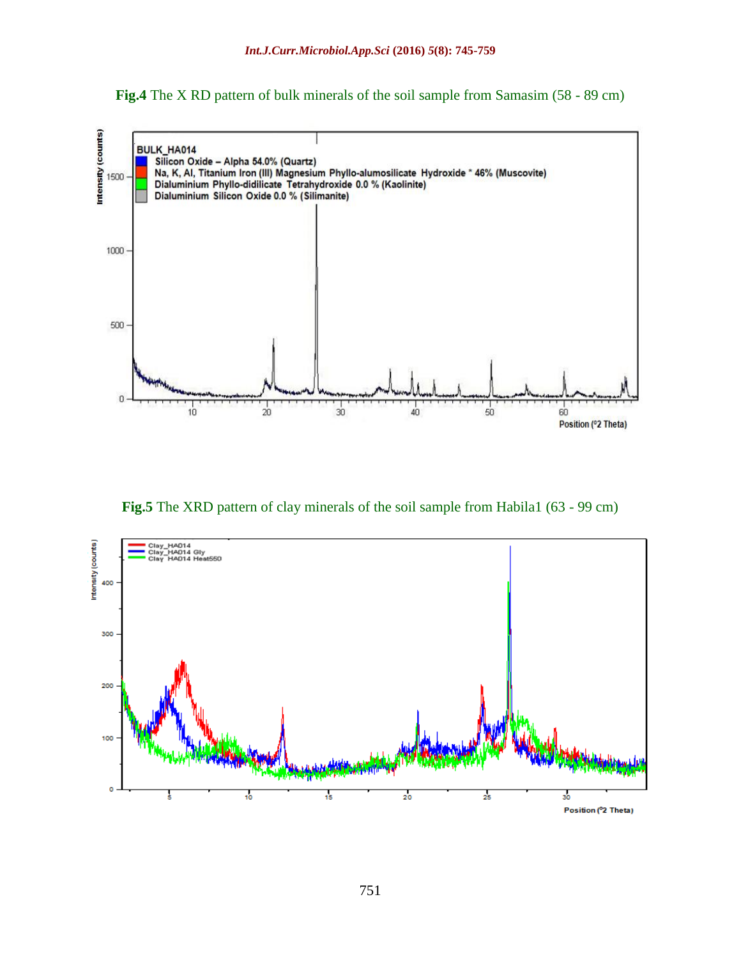**Fig.4** The X RD pattern of bulk minerals of the soil sample from Samasim (58 - 89 cm)



**Fig.5** The XRD pattern of clay minerals of the soil sample from Habila1 (63 - 99 cm)

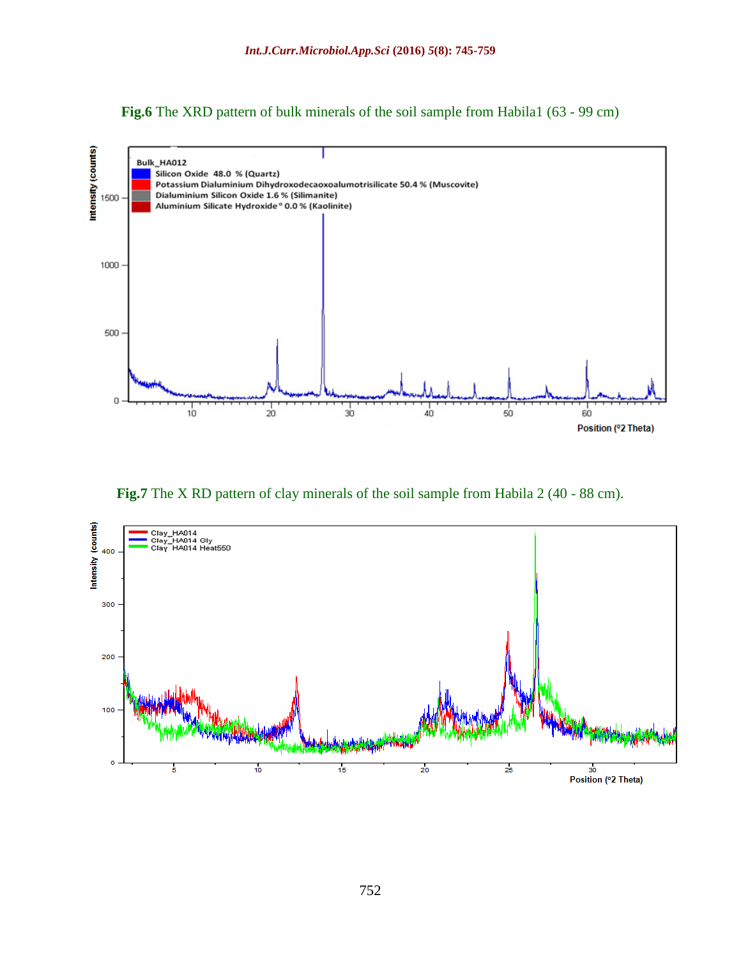**Fig.6** The XRD pattern of bulk minerals of the soil sample from Habila1 (63 - 99 cm)



**Fig.7** The X RD pattern of clay minerals of the soil sample from Habila 2 (40 - 88 cm).

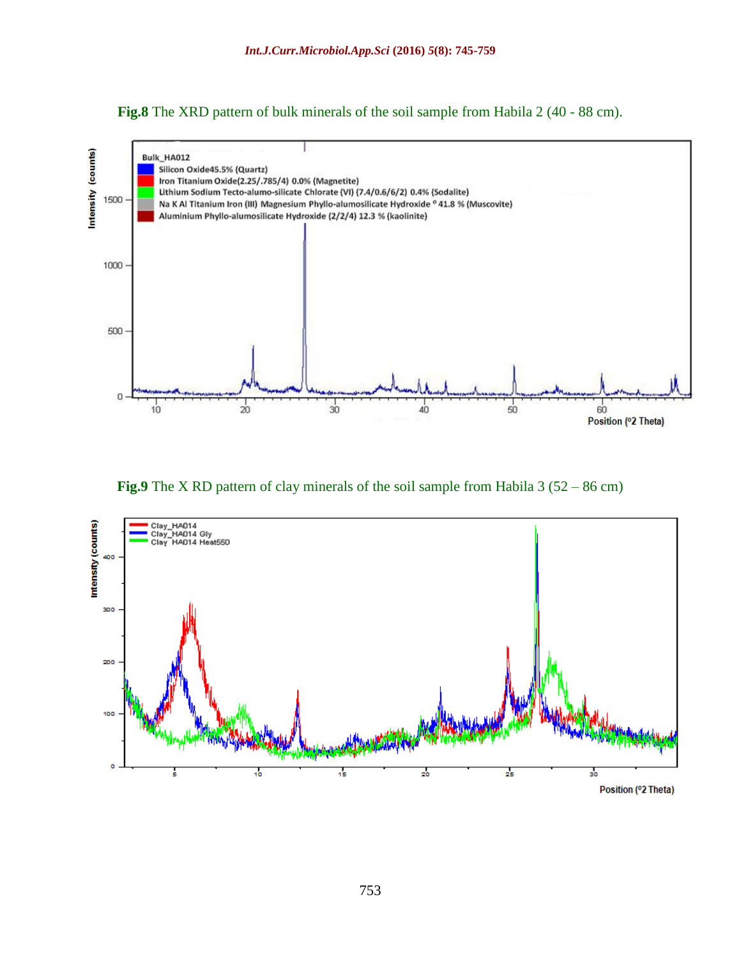**Fig.8** The XRD pattern of bulk minerals of the soil sample from Habila 2 (40 - 88 cm).



**Fig.9** The X RD pattern of clay minerals of the soil sample from Habila 3 (52 – 86 cm)

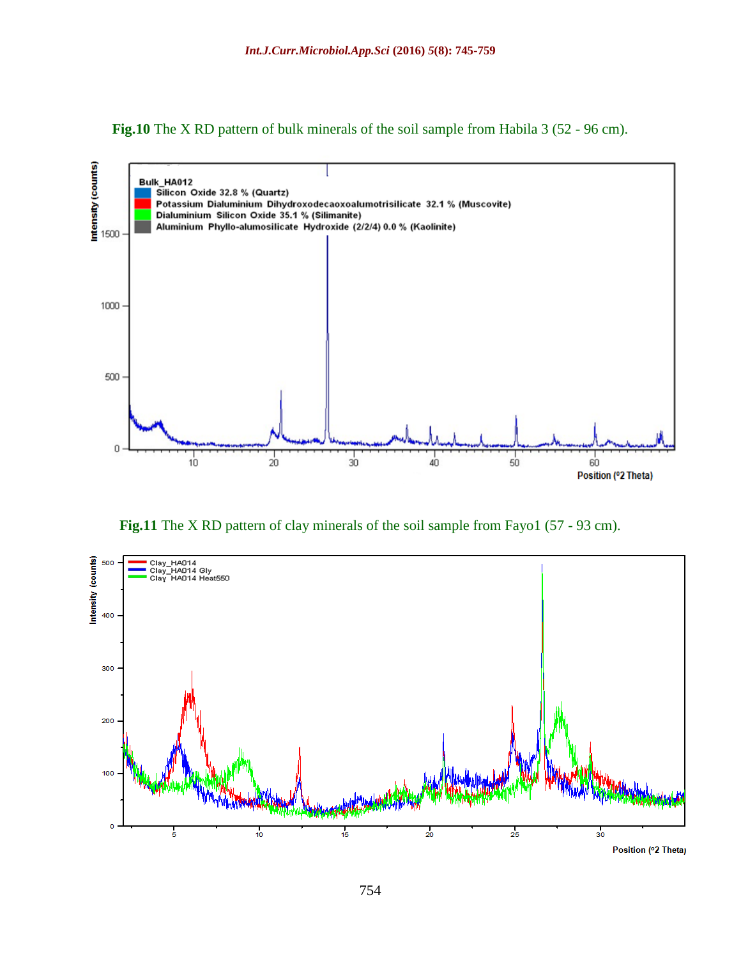



Fig.11 The X RD pattern of clay minerals of the soil sample from Fayo1 (57 - 93 cm).



754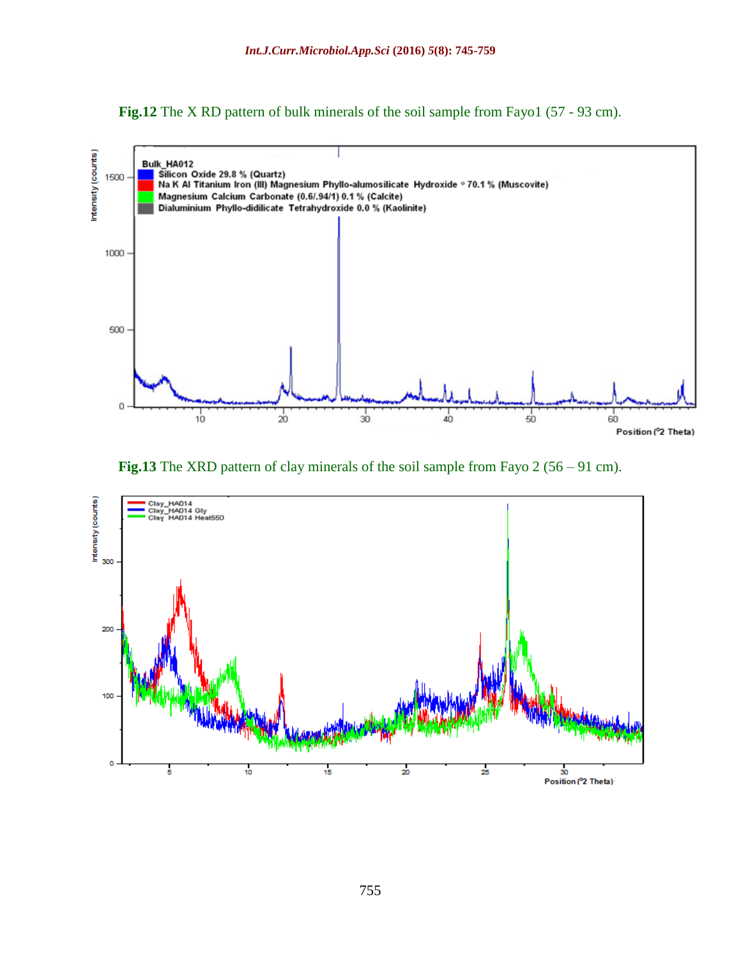**Fig.12** The X RD pattern of bulk minerals of the soil sample from Fayo1 (57 - 93 cm).



**Fig.13** The XRD pattern of clay minerals of the soil sample from Fayo 2 (56 – 91 cm).

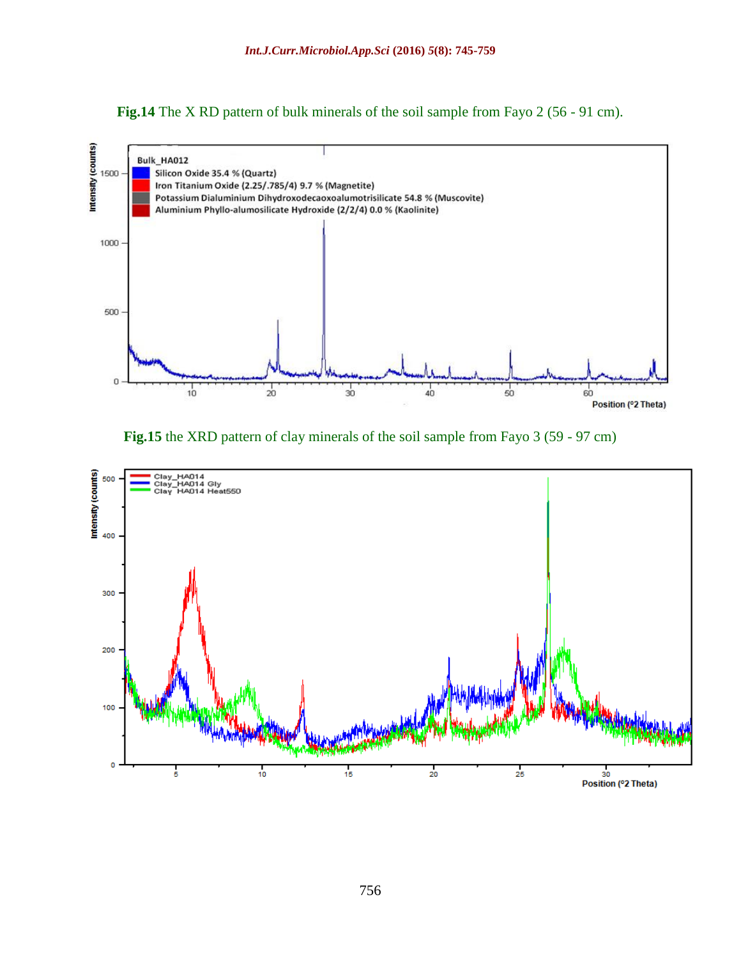**Fig.14** The X RD pattern of bulk minerals of the soil sample from Fayo 2 (56 - 91 cm).



**Fig.15** the XRD pattern of clay minerals of the soil sample from Fayo 3 (59 - 97 cm)

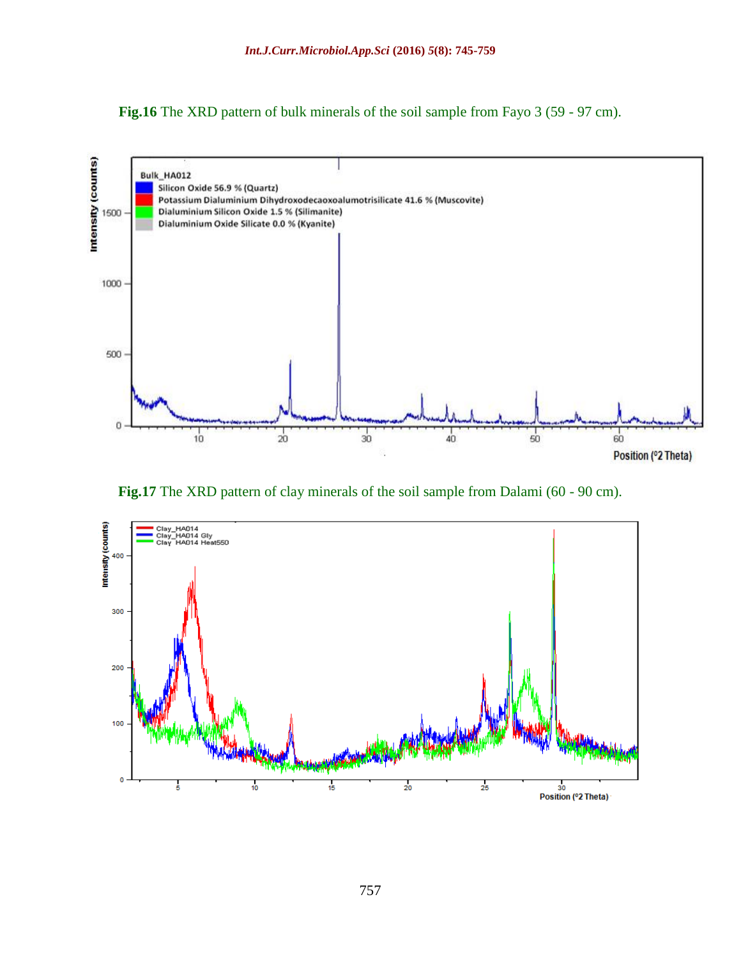**Fig.16** The XRD pattern of bulk minerals of the soil sample from Fayo 3 (59 - 97 cm).



Fig.17 The XRD pattern of clay minerals of the soil sample from Dalami (60 - 90 cm).

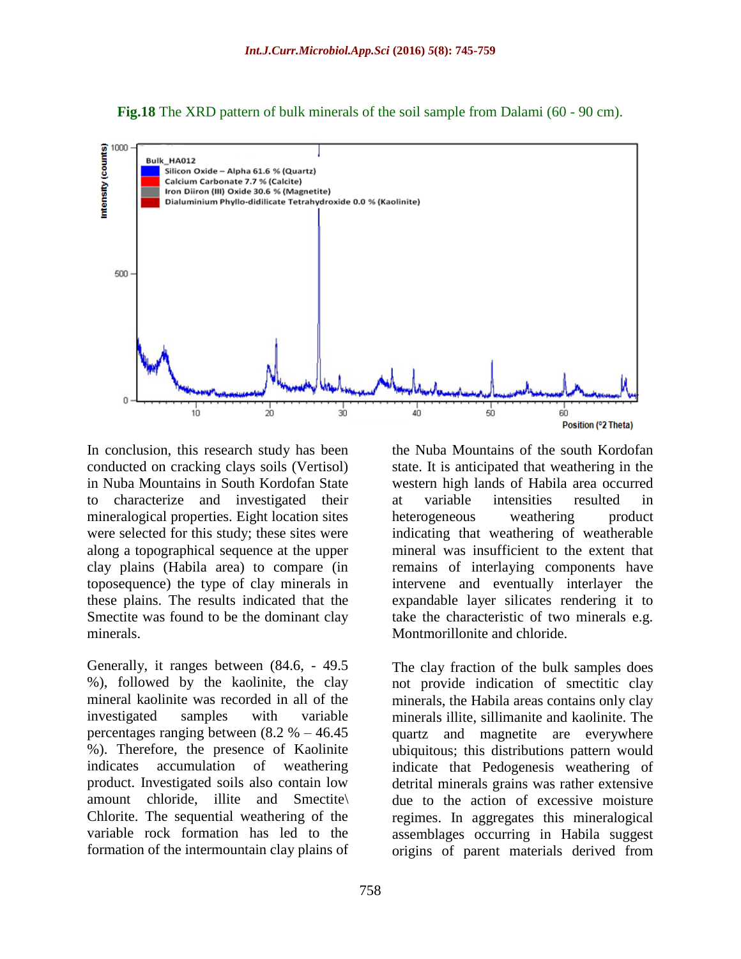**Fig.18** The XRD pattern of bulk minerals of the soil sample from Dalami (60 - 90 cm).



In conclusion, this research study has been conducted on cracking clays soils (Vertisol) in Nuba Mountains in South Kordofan State to characterize and investigated their mineralogical properties. Eight location sites were selected for this study; these sites were along a topographical sequence at the upper clay plains (Habila area) to compare (in toposequence) the type of clay minerals in these plains. The results indicated that the Smectite was found to be the dominant clay minerals.

Generally, it ranges between (84.6, - 49.5 %), followed by the kaolinite, the clay mineral kaolinite was recorded in all of the investigated samples with variable percentages ranging between  $(8.2 % -46.45)$ %). Therefore, the presence of Kaolinite indicates accumulation of weathering product. Investigated soils also contain low amount chloride, illite and Smectite\ Chlorite. The sequential weathering of the variable rock formation has led to the formation of the intermountain clay plains of

the Nuba Mountains of the south Kordofan state. It is anticipated that weathering in the western high lands of Habila area occurred at variable intensities resulted in heterogeneous weathering product indicating that weathering of weatherable mineral was insufficient to the extent that remains of interlaying components have intervene and eventually interlayer the expandable layer silicates rendering it to take the characteristic of two minerals e.g. Montmorillonite and chloride.

The clay fraction of the bulk samples does not provide indication of smectitic clay minerals, the Habila areas contains only clay minerals illite, sillimanite and kaolinite. The quartz and magnetite are everywhere ubiquitous; this distributions pattern would indicate that Pedogenesis weathering of detrital minerals grains was rather extensive due to the action of excessive moisture regimes. In aggregates this mineralogical assemblages occurring in Habila suggest origins of parent materials derived from